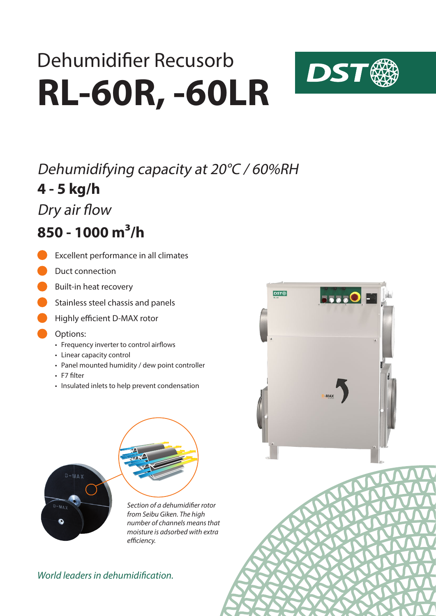# **RL-60R, -60LR** Dehumidifier Recusorb



### **4 - 5 kg/h** Dehumidifying capacity at 20°C / 60%RH

Dry air flow

### **850 - 1000 m³/h**

- Excellent performance in all climates
- Duct connection
- Built-in heat recovery
- Stainless steel chassis and panels
- **Highly efficient D-MAX rotor**
- Options:
	- Frequency inverter to control airflows
	- Linear capacity control
	- Panel mounted humidity / dew point controller
	- F7 filter
	- Insulated inlets to help prevent condensation



*Section of a dehumidifier rotor from Seibu Giken. The high number of channels means that moisture is adsorbed with extra efficiency.*

### *World leaders in dehumidification.*